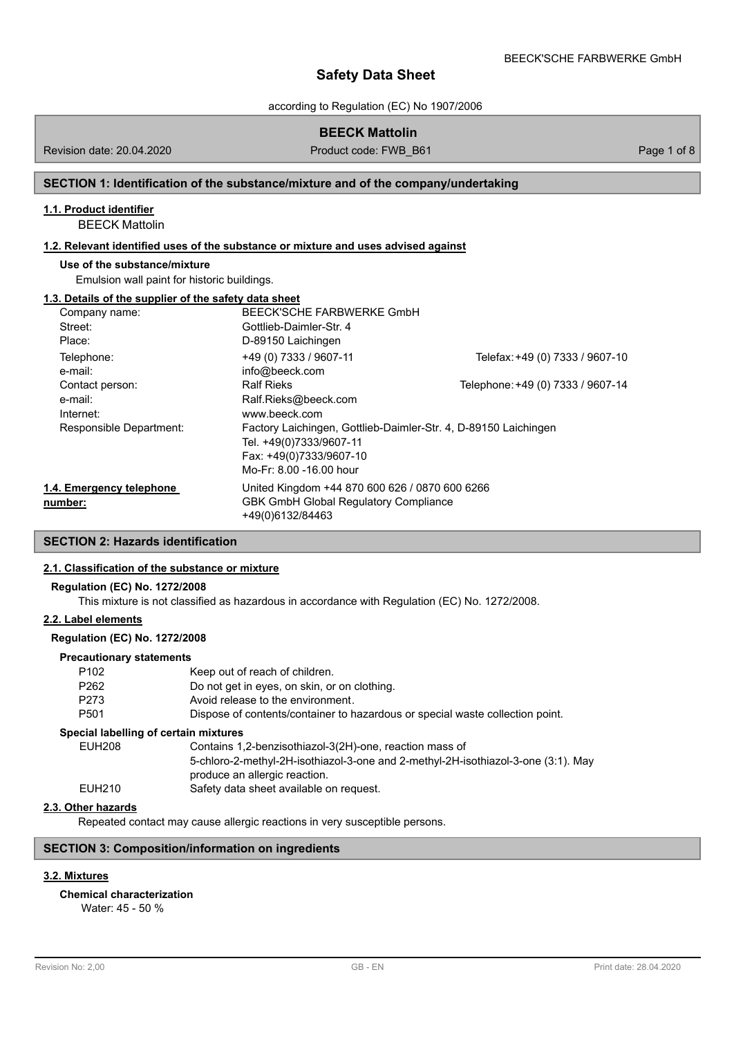according to Regulation (EC) No 1907/2006

Revision date: 20.04.2020 **Product code: FWB\_B61** Page 1 of 8

## **SECTION 1: Identification of the substance/mixture and of the company/undertaking**

## **1.1. Product identifier**

BEECK Mattolin

# **1.2. Relevant identified uses of the substance or mixture and uses advised against**

## **Use of the substance/mixture**

Emulsion wall paint for historic buildings.

#### **1.3. Details of the supplier of the safety data sheet**

| Company name:            | BEECK'SCHE FARBWERKE GmbH                                       |                                   |
|--------------------------|-----------------------------------------------------------------|-----------------------------------|
| Street:                  | Gottlieb-Daimler-Str. 4                                         |                                   |
| Place:                   | D-89150 Laichingen                                              |                                   |
| Telephone:<br>e-mail:    | +49 (0) 7333 / 9607-11<br>info@beeck.com                        | Telefax: +49 (0) 7333 / 9607-10   |
| Contact person:          | <b>Ralf Rieks</b>                                               | Telephone: +49 (0) 7333 / 9607-14 |
| e-mail:                  | Ralf.Rieks@beeck.com                                            |                                   |
| Internet:                | www.beeck.com                                                   |                                   |
| Responsible Department:  | Factory Laichingen, Gottlieb-Daimler-Str. 4, D-89150 Laichingen |                                   |
|                          | Tel. +49(0)7333/9607-11                                         |                                   |
|                          | Fax: +49(0)7333/9607-10                                         |                                   |
|                          | Mo-Fr: 8.00 -16.00 hour                                         |                                   |
| 1.4. Emergency telephone | United Kingdom +44 870 600 626 / 0870 600 6266                  |                                   |
| number:                  | <b>GBK GmbH Global Requlatory Compliance</b>                    |                                   |
|                          | +49(0)6132/84463                                                |                                   |

# **SECTION 2: Hazards identification**

## **2.1. Classification of the substance or mixture**

## **Regulation (EC) No. 1272/2008**

This mixture is not classified as hazardous in accordance with Regulation (EC) No. 1272/2008.

# **2.2. Label elements**

### **Regulation (EC) No. 1272/2008**

## **Precautionary statements**

| P <sub>102</sub>                      | Keep out of reach of children.                                                                                     |
|---------------------------------------|--------------------------------------------------------------------------------------------------------------------|
| P <sub>262</sub>                      | Do not get in eyes, on skin, or on clothing.                                                                       |
| P273                                  | Avoid release to the environment.                                                                                  |
| P <sub>501</sub>                      | Dispose of contents/container to hazardous or special waste collection point.                                      |
| Special labelling of certain mixtures |                                                                                                                    |
| <b>EUH208</b>                         | Contains 1,2-benzisothiazol-3(2H)-one, reaction mass of                                                            |
|                                       | 5-chloro-2-methyl-2H-isothiazol-3-one and 2-methyl-2H-isothiazol-3-one (3:1). May<br>produce an allergic reaction. |
| EUH210                                | Safety data sheet available on request.                                                                            |
|                                       |                                                                                                                    |

# **2.3. Other hazards**

Repeated contact may cause allergic reactions in very susceptible persons.

# **SECTION 3: Composition/information on ingredients**

# **3.2. Mixtures**

**Chemical characterization**

Water: 45 - 50 %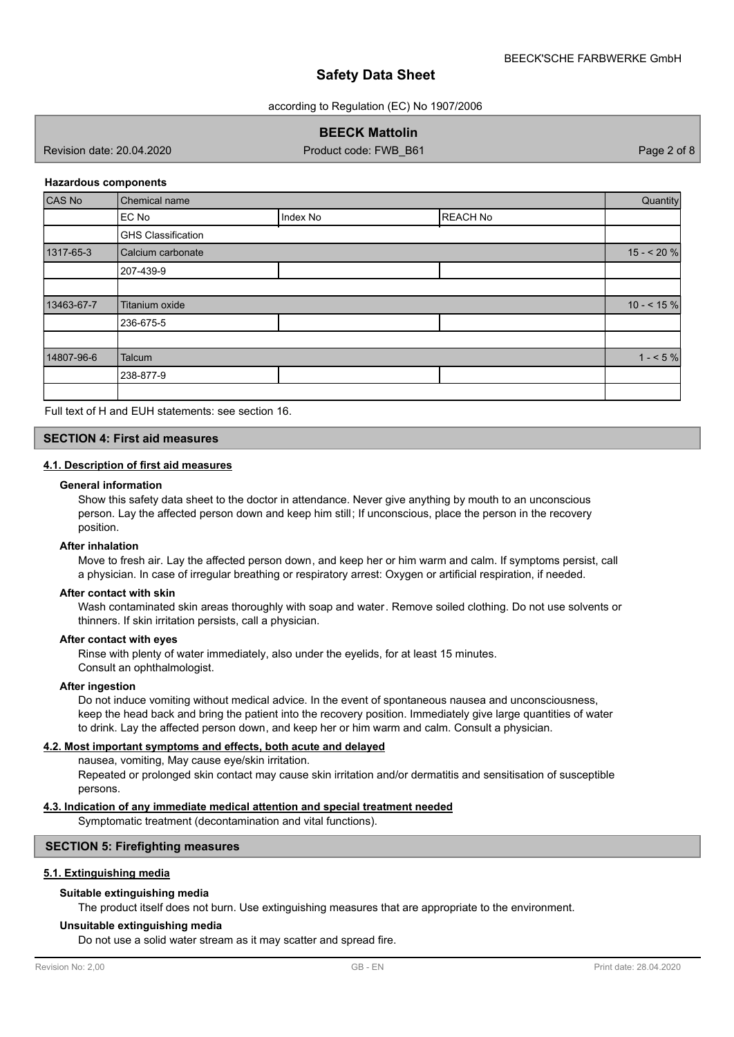according to Regulation (EC) No 1907/2006

# **BEECK Mattolin**

Revision date: 20.04.2020 **Product code: FWB\_B61** Page 2 of 8

### **Hazardous components**

| CAS No     | Chemical name             |          |                 | Quantity     |
|------------|---------------------------|----------|-----------------|--------------|
|            | EC No                     | Index No | <b>REACH No</b> |              |
|            | <b>GHS Classification</b> |          |                 |              |
| 1317-65-3  | Calcium carbonate         |          |                 | $15 - 20%$   |
|            | 207-439-9                 |          |                 |              |
|            |                           |          |                 |              |
| 13463-67-7 | Titanium oxide            |          |                 | $10 - 5.15%$ |
|            | 236-675-5                 |          |                 |              |
|            |                           |          |                 |              |
| 14807-96-6 | Talcum                    |          |                 | $1 - 5%$     |
|            | 238-877-9                 |          |                 |              |
|            |                           |          |                 |              |

Full text of H and EUH statements: see section 16.

## **SECTION 4: First aid measures**

## **4.1. Description of first aid measures**

#### **General information**

Show this safety data sheet to the doctor in attendance. Never give anything by mouth to an unconscious person. Lay the affected person down and keep him still; If unconscious, place the person in the recovery position.

#### **After inhalation**

Move to fresh air. Lay the affected person down, and keep her or him warm and calm. If symptoms persist, call a physician. In case of irregular breathing or respiratory arrest: Oxygen or artificial respiration, if needed.

## **After contact with skin**

Wash contaminated skin areas thoroughly with soap and water. Remove soiled clothing. Do not use solvents or thinners. If skin irritation persists, call a physician.

#### **After contact with eyes**

Rinse with plenty of water immediately, also under the eyelids, for at least 15 minutes. Consult an ophthalmologist.

#### **After ingestion**

Do not induce vomiting without medical advice. In the event of spontaneous nausea and unconsciousness, keep the head back and bring the patient into the recovery position. Immediately give large quantities of water to drink. Lay the affected person down, and keep her or him warm and calm. Consult a physician.

### **4.2. Most important symptoms and effects, both acute and delayed**

nausea, vomiting, May cause eye/skin irritation.

Repeated or prolonged skin contact may cause skin irritation and/or dermatitis and sensitisation of susceptible persons.

### **4.3. Indication of any immediate medical attention and special treatment needed**

Symptomatic treatment (decontamination and vital functions).

## **SECTION 5: Firefighting measures**

## **5.1. Extinguishing media**

## **Suitable extinguishing media**

The product itself does not burn. Use extinguishing measures that are appropriate to the environment.

#### **Unsuitable extinguishing media**

Do not use a solid water stream as it may scatter and spread fire.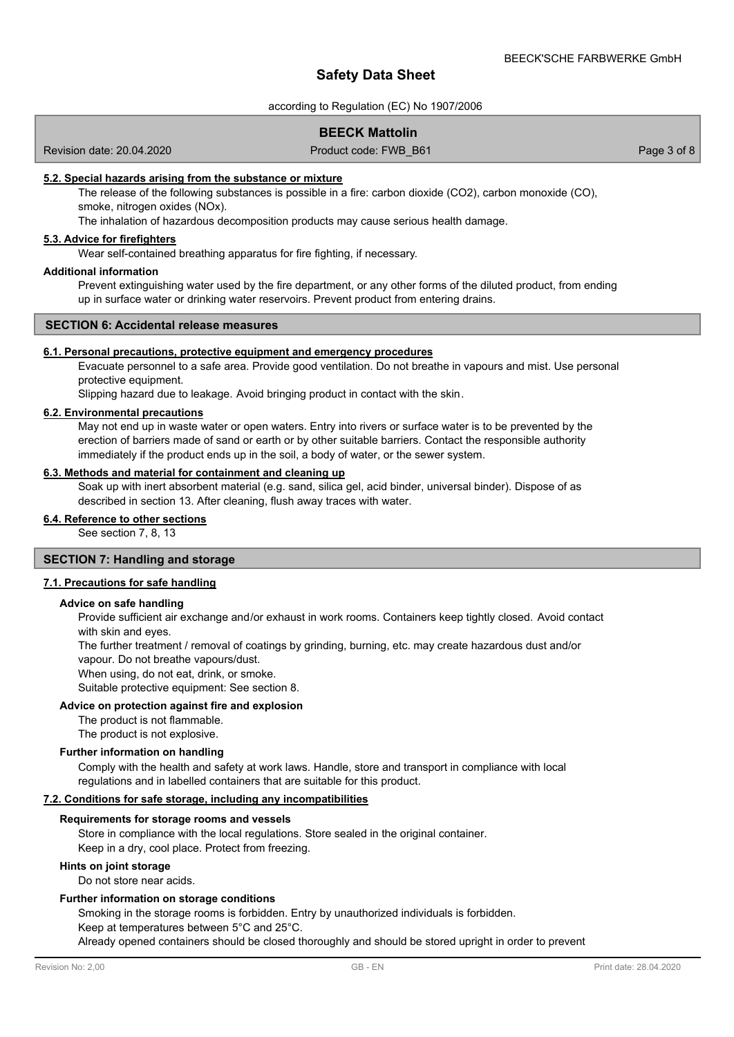according to Regulation (EC) No 1907/2006

## **BEECK Mattolin**

Revision date: 20.04.2020 **Product code: FWB\_B61** Product code: FWB\_B61 Page 3 of 8

### **5.2. Special hazards arising from the substance or mixture**

The release of the following substances is possible in a fire: carbon dioxide (CO2), carbon monoxide (CO), smoke, nitrogen oxides (NOx).

The inhalation of hazardous decomposition products may cause serious health damage.

# **5.3. Advice for firefighters**

Wear self-contained breathing apparatus for fire fighting, if necessary.

## **Additional information**

Prevent extinguishing water used by the fire department, or any other forms of the diluted product, from ending up in surface water or drinking water reservoirs. Prevent product from entering drains.

## **SECTION 6: Accidental release measures**

#### **6.1. Personal precautions, protective equipment and emergency procedures**

Evacuate personnel to a safe area. Provide good ventilation. Do not breathe in vapours and mist. Use personal protective equipment.

Slipping hazard due to leakage. Avoid bringing product in contact with the skin.

### **6.2. Environmental precautions**

May not end up in waste water or open waters. Entry into rivers or surface water is to be prevented by the erection of barriers made of sand or earth or by other suitable barriers. Contact the responsible authority immediately if the product ends up in the soil, a body of water, or the sewer system.

## **6.3. Methods and material for containment and cleaning up**

Soak up with inert absorbent material (e.g. sand, silica gel, acid binder, universal binder). Dispose of as described in section 13. After cleaning, flush away traces with water.

# **6.4. Reference to other sections**

See section 7, 8, 13

## **SECTION 7: Handling and storage**

### **7.1. Precautions for safe handling**

#### **Advice on safe handling**

Provide sufficient air exchange and/or exhaust in work rooms. Containers keep tightly closed. Avoid contact with skin and eyes.

The further treatment / removal of coatings by grinding, burning, etc. may create hazardous dust and/or vapour. Do not breathe vapours/dust.

When using, do not eat, drink, or smoke.

Suitable protective equipment: See section 8.

#### **Advice on protection against fire and explosion**

The product is not flammable.

The product is not explosive.

### **Further information on handling**

Comply with the health and safety at work laws. Handle, store and transport in compliance with local regulations and in labelled containers that are suitable for this product.

### **7.2. Conditions for safe storage, including any incompatibilities**

#### **Requirements for storage rooms and vessels**

Store in compliance with the local regulations. Store sealed in the original container. Keep in a dry, cool place. Protect from freezing.

#### **Hints on joint storage**

Do not store near acids.

#### **Further information on storage conditions**

Smoking in the storage rooms is forbidden. Entry by unauthorized individuals is forbidden.

Keep at temperatures between 5°C and 25°C.

Already opened containers should be closed thoroughly and should be stored upright in order to prevent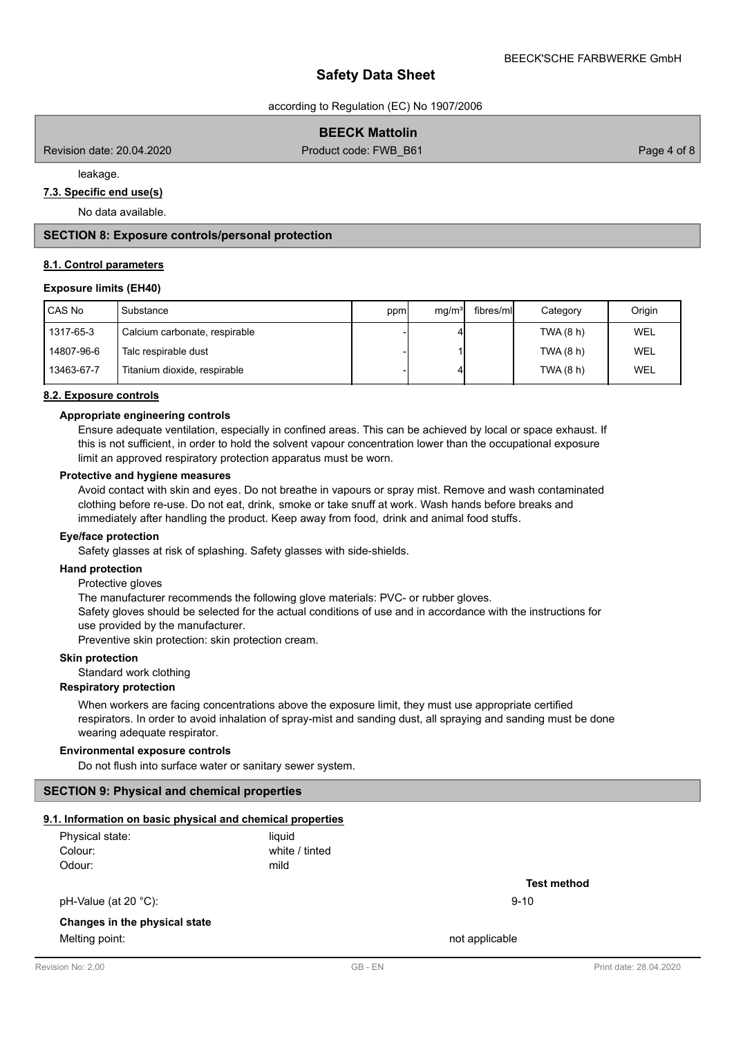according to Regulation (EC) No 1907/2006

## **BEECK Mattolin**

Revision date: 20.04.2020 **Product code: FWB\_B61** Page 4 of 8

leakage.

# **7.3. Specific end use(s)**

No data available.

## **SECTION 8: Exposure controls/personal protection**

#### **8.1. Control parameters**

## **Exposure limits (EH40)**

| CAS No     | Substance                     | ppm | mq/m <sup>3</sup> | fibres/mll | Category  | Origin     |
|------------|-------------------------------|-----|-------------------|------------|-----------|------------|
| 1317-65-3  | Calcium carbonate, respirable |     |                   |            | TWA (8 h) | WEL        |
| 14807-96-6 | Talc respirable dust          |     |                   |            | TWA (8 h) | <b>WEL</b> |
| 13463-67-7 | Titanium dioxide, respirable  |     |                   |            | TWA (8 h) | WEL        |

### **8.2. Exposure controls**

### **Appropriate engineering controls**

Ensure adequate ventilation, especially in confined areas. This can be achieved by local or space exhaust. If this is not sufficient, in order to hold the solvent vapour concentration lower than the occupational exposure limit an approved respiratory protection apparatus must be worn.

#### **Protective and hygiene measures**

Avoid contact with skin and eyes. Do not breathe in vapours or spray mist. Remove and wash contaminated clothing before re-use. Do not eat, drink, smoke or take snuff at work. Wash hands before breaks and immediately after handling the product. Keep away from food, drink and animal food stuffs.

#### **Eye/face protection**

Safety glasses at risk of splashing. Safety glasses with side-shields.

### **Hand protection**

Protective gloves

The manufacturer recommends the following glove materials: PVC- or rubber gloves.

Safety gloves should be selected for the actual conditions of use and in accordance with the instructions for use provided by the manufacturer.

Preventive skin protection: skin protection cream.

## **Skin protection**

Standard work clothing

#### **Respiratory protection**

When workers are facing concentrations above the exposure limit, they must use appropriate certified respirators. In order to avoid inhalation of spray-mist and sanding dust, all spraying and sanding must be done wearing adequate respirator.

## **Environmental exposure controls**

Do not flush into surface water or sanitary sewer system.

### **SECTION 9: Physical and chemical properties**

# **9.1. Information on basic physical and chemical properties**

| Physical state: | liauid         |
|-----------------|----------------|
| Colour:         | white / tinted |
| Odour:          | mild           |

pH-Value (at 20 °C): 9-10

## **Changes in the physical state**

Melting point: not applicable that the matrix of the matrix  $\sim$  not applicable

**Test method**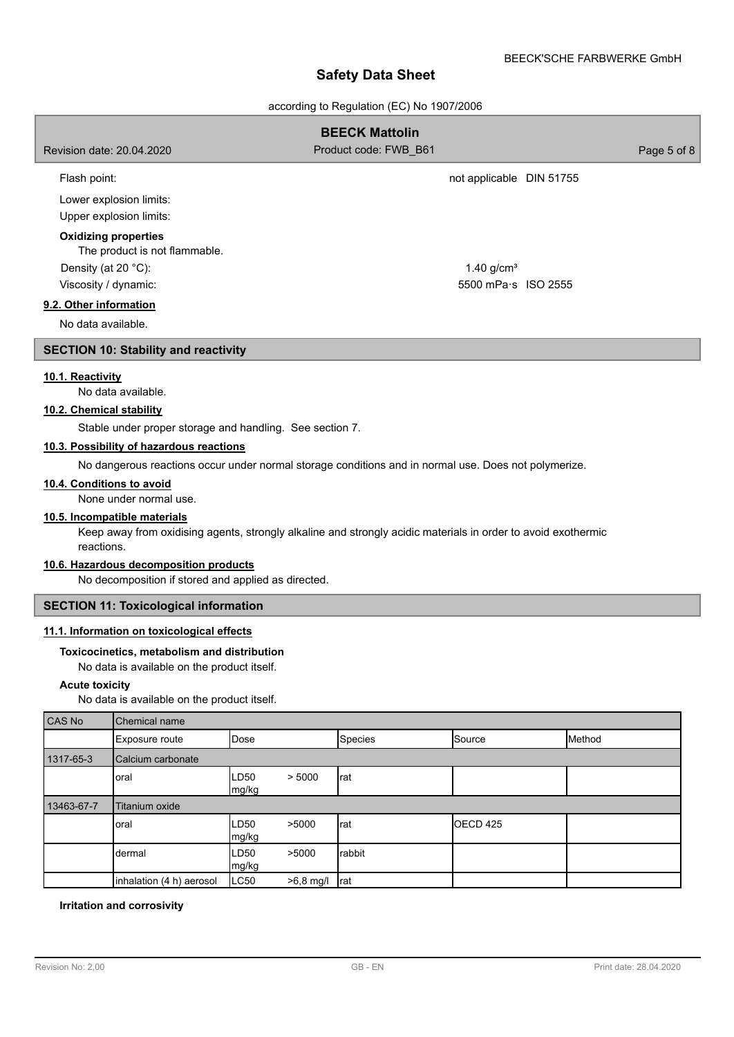according to Regulation (EC) No 1907/2006

# **BEECK Mattolin** Revision date: 20.04.2020 **Product code: FWB\_B61** Page 5 of 8 Flash point: **not applicable DIN 51755** Lower explosion limits: Upper explosion limits: The product is not flammable. **Oxidizing properties** Density (at 20 °C): Viscosity / dynamic:  $1.40$  g/cm<sup>3</sup> 5500 mPa·s ISO 2555 **9.2. Other information** No data available. **SECTION 10: Stability and reactivity**

# **10.1. Reactivity**

No data available.

## **10.2. Chemical stability**

Stable under proper storage and handling. See section 7.

## **10.3. Possibility of hazardous reactions**

No dangerous reactions occur under normal storage conditions and in normal use. Does not polymerize.

### **10.4. Conditions to avoid**

None under normal use.

## **10.5. Incompatible materials**

Keep away from oxidising agents, strongly alkaline and strongly acidic materials in order to avoid exothermic reactions.

## **10.6. Hazardous decomposition products**

No decomposition if stored and applied as directed.

# **SECTION 11: Toxicological information**

# **11.1. Information on toxicological effects**

### **Toxicocinetics, metabolism and distribution**

No data is available on the product itself.

### **Acute toxicity**

No data is available on the product itself.

| CAS No     | <b>Chemical name</b>     |               |             |         |                     |        |  |
|------------|--------------------------|---------------|-------------|---------|---------------------|--------|--|
|            | Exposure route           | <b>IDose</b>  |             | Species | Source              | Method |  |
| 1317-65-3  | Calcium carbonate        |               |             |         |                     |        |  |
|            | oral                     | LD50<br>mg/kg | > 5000      | rat     |                     |        |  |
| 13463-67-7 | Titanium oxide           |               |             |         |                     |        |  |
|            | oral                     | LD50<br>mg/kg | >5000       | rat     | OECD <sub>425</sub> |        |  |
|            | dermal                   | LD50<br>mg/kg | >5000       | rabbit  |                     |        |  |
|            | inhalation (4 h) aerosol | LC50          | $>6.8$ mg/l | Irat    |                     |        |  |

## **Irritation and corrosivity**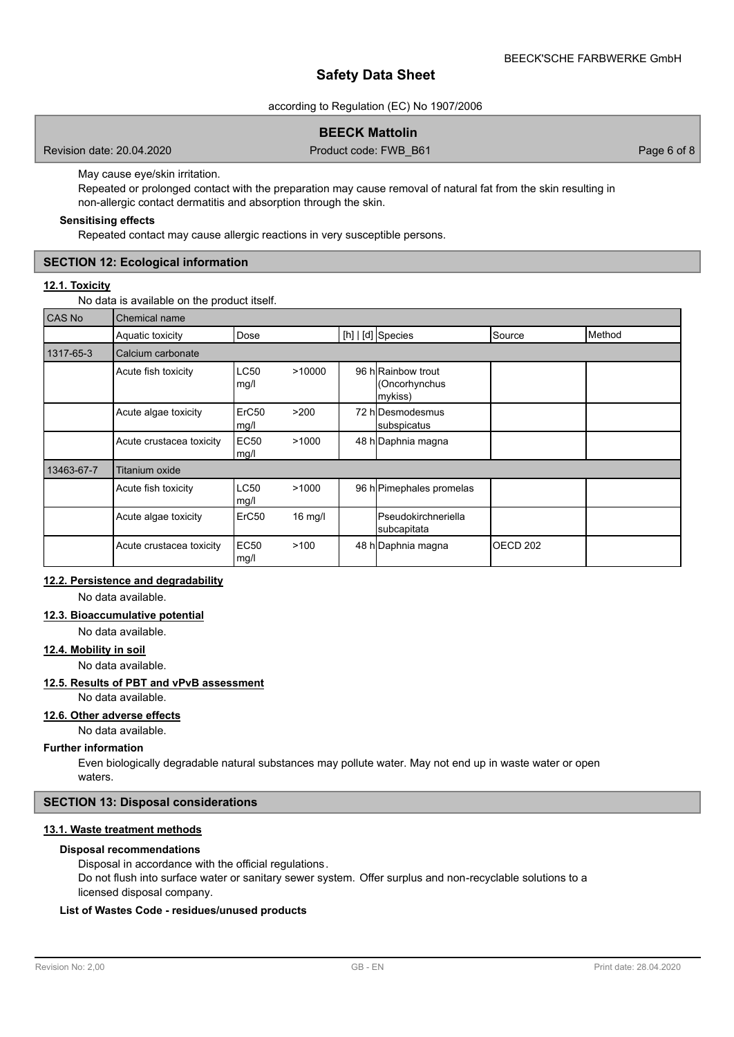according to Regulation (EC) No 1907/2006

# **BEECK Mattolin**

Revision date: 20.04.2020 Product code: FWB\_B61 Page 6 of 8

May cause eye/skin irritation.

Repeated or prolonged contact with the preparation may cause removal of natural fat from the skin resulting in non-allergic contact dermatitis and absorption through the skin.

## **Sensitising effects**

Repeated contact may cause allergic reactions in very susceptible persons.

## **SECTION 12: Ecological information**

# **12.1. Toxicity**

No data is available on the product itself.

| <b>CAS No</b> | Chemical name            |                           |           |                                                |                     |        |
|---------------|--------------------------|---------------------------|-----------|------------------------------------------------|---------------------|--------|
|               | Aquatic toxicity         | Dose                      |           | [h]   [d] Species                              | Source              | Method |
| 1317-65-3     | Calcium carbonate        |                           |           |                                                |                     |        |
|               | Acute fish toxicity      | LC50<br>mg/l              | >10000    | 96 h Rainbow trout<br>(Oncorhynchus<br>mykiss) |                     |        |
|               | Acute algae toxicity     | ErC <sub>50</sub><br>mg/l | >200      | 72 hIDesmodesmus<br>subspicatus                |                     |        |
|               | Acute crustacea toxicity | <b>EC50</b><br>mg/l       | >1000     | 48 h Daphnia magna                             |                     |        |
| 13463-67-7    | <b>Titanium oxide</b>    |                           |           |                                                |                     |        |
|               | Acute fish toxicity      | <b>LC50</b><br>mg/l       | >1000     | 96 h Pimephales promelas                       |                     |        |
|               | Acute algae toxicity     | ErC <sub>50</sub>         | $16$ mg/l | <b>I</b> Pseudokirchneriella<br>subcapitata    |                     |        |
|               | Acute crustacea toxicity | <b>EC50</b><br>mg/l       | >100      | 48 h Daphnia magna                             | OECD <sub>202</sub> |        |

# **12.2. Persistence and degradability**

No data available.

## **12.3. Bioaccumulative potential**

No data available.

## **12.4. Mobility in soil**

No data available.

### **12.5. Results of PBT and vPvB assessment**

No data available.

# **12.6. Other adverse effects**

No data available.

### **Further information**

Even biologically degradable natural substances may pollute water. May not end up in waste water or open waters.

### **SECTION 13: Disposal considerations**

# **13.1. Waste treatment methods**

# **Disposal recommendations**

Disposal in accordance with the official regulations.

Do not flush into surface water or sanitary sewer system. Offer surplus and non-recyclable solutions to a licensed disposal company.

## **List of Wastes Code - residues/unused products**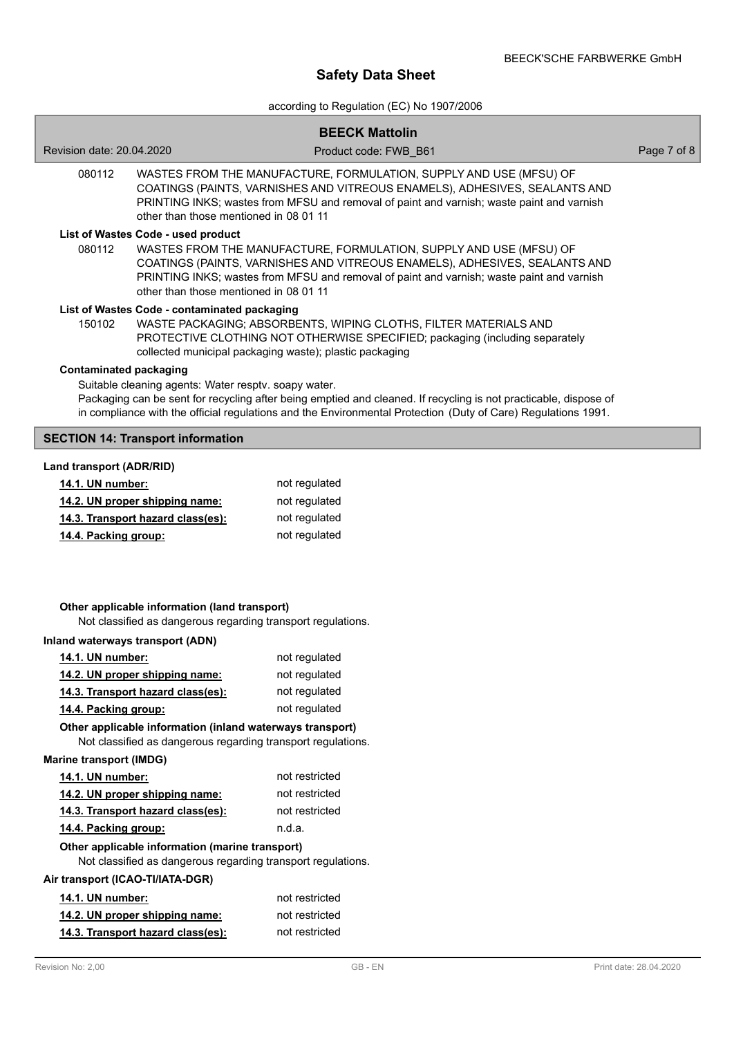# according to Regulation (EC) No 1907/2006

|                                                                                                                                                                                                                                                                                                                                         |                                                                                                                                                   | <b>BEECK Mattolin</b>                                                                                                                                                                                                                         |             |  |  |
|-----------------------------------------------------------------------------------------------------------------------------------------------------------------------------------------------------------------------------------------------------------------------------------------------------------------------------------------|---------------------------------------------------------------------------------------------------------------------------------------------------|-----------------------------------------------------------------------------------------------------------------------------------------------------------------------------------------------------------------------------------------------|-------------|--|--|
| Revision date: 20.04.2020                                                                                                                                                                                                                                                                                                               |                                                                                                                                                   | Product code: FWB B61                                                                                                                                                                                                                         | Page 7 of 8 |  |  |
| 080112                                                                                                                                                                                                                                                                                                                                  | other than those mentioned in 08 01 11                                                                                                            | WASTES FROM THE MANUFACTURE, FORMULATION, SUPPLY AND USE (MFSU) OF<br>COATINGS (PAINTS, VARNISHES AND VITREOUS ENAMELS), ADHESIVES, SEALANTS AND<br>PRINTING INKS; wastes from MFSU and removal of paint and varnish; waste paint and varnish |             |  |  |
| List of Wastes Code - used product<br>WASTES FROM THE MANUFACTURE, FORMULATION, SUPPLY AND USE (MFSU) OF<br>080112<br>COATINGS (PAINTS, VARNISHES AND VITREOUS ENAMELS), ADHESIVES, SEALANTS AND<br>PRINTING INKS; wastes from MFSU and removal of paint and varnish; waste paint and varnish<br>other than those mentioned in 08 01 11 |                                                                                                                                                   |                                                                                                                                                                                                                                               |             |  |  |
| List of Wastes Code - contaminated packaging<br>150102<br>WASTE PACKAGING; ABSORBENTS, WIPING CLOTHS, FILTER MATERIALS AND<br>PROTECTIVE CLOTHING NOT OTHERWISE SPECIFIED; packaging (including separately<br>collected municipal packaging waste); plastic packaging                                                                   |                                                                                                                                                   |                                                                                                                                                                                                                                               |             |  |  |
| <b>Contaminated packaging</b>                                                                                                                                                                                                                                                                                                           | Suitable cleaning agents: Water resptv. soapy water.                                                                                              | Packaging can be sent for recycling after being emptied and cleaned. If recycling is not practicable, dispose of<br>in compliance with the official regulations and the Environmental Protection (Duty of Care) Regulations 1991.             |             |  |  |
|                                                                                                                                                                                                                                                                                                                                         | <b>SECTION 14: Transport information</b>                                                                                                          |                                                                                                                                                                                                                                               |             |  |  |
| Land transport (ADR/RID)                                                                                                                                                                                                                                                                                                                |                                                                                                                                                   |                                                                                                                                                                                                                                               |             |  |  |
| 14.1. UN number:                                                                                                                                                                                                                                                                                                                        |                                                                                                                                                   | not regulated                                                                                                                                                                                                                                 |             |  |  |
|                                                                                                                                                                                                                                                                                                                                         | 14.2. UN proper shipping name:                                                                                                                    | not regulated                                                                                                                                                                                                                                 |             |  |  |
|                                                                                                                                                                                                                                                                                                                                         | 14.3. Transport hazard class(es):                                                                                                                 | not regulated                                                                                                                                                                                                                                 |             |  |  |
| 14.4. Packing group:                                                                                                                                                                                                                                                                                                                    |                                                                                                                                                   | not regulated                                                                                                                                                                                                                                 |             |  |  |
|                                                                                                                                                                                                                                                                                                                                         | Other applicable information (land transport)<br>Not classified as dangerous regarding transport regulations.<br>Inland waterways transport (ADN) |                                                                                                                                                                                                                                               |             |  |  |
|                                                                                                                                                                                                                                                                                                                                         |                                                                                                                                                   |                                                                                                                                                                                                                                               |             |  |  |
| 14.1. UN number:                                                                                                                                                                                                                                                                                                                        |                                                                                                                                                   | not regulated<br>not regulated                                                                                                                                                                                                                |             |  |  |
|                                                                                                                                                                                                                                                                                                                                         | 14.2. UN proper shipping name:<br>14.3. Transport hazard class(es):                                                                               | not regulated                                                                                                                                                                                                                                 |             |  |  |
| 14.4. Packing group:                                                                                                                                                                                                                                                                                                                    |                                                                                                                                                   | not regulated                                                                                                                                                                                                                                 |             |  |  |
|                                                                                                                                                                                                                                                                                                                                         | Other applicable information (inland waterways transport)<br>Not classified as dangerous regarding transport regulations.                         |                                                                                                                                                                                                                                               |             |  |  |
| <b>Marine transport (IMDG)</b>                                                                                                                                                                                                                                                                                                          |                                                                                                                                                   |                                                                                                                                                                                                                                               |             |  |  |
| 14.1. UN number:                                                                                                                                                                                                                                                                                                                        |                                                                                                                                                   | not restricted                                                                                                                                                                                                                                |             |  |  |
|                                                                                                                                                                                                                                                                                                                                         | 14.2. UN proper shipping name:                                                                                                                    | not restricted                                                                                                                                                                                                                                |             |  |  |
|                                                                                                                                                                                                                                                                                                                                         | 14.3. Transport hazard class(es):                                                                                                                 | not restricted                                                                                                                                                                                                                                |             |  |  |
| 14.4. Packing group:                                                                                                                                                                                                                                                                                                                    |                                                                                                                                                   | n.d.a.                                                                                                                                                                                                                                        |             |  |  |
|                                                                                                                                                                                                                                                                                                                                         | Other applicable information (marine transport)<br>Not classified as dangerous regarding transport regulations.                                   |                                                                                                                                                                                                                                               |             |  |  |
|                                                                                                                                                                                                                                                                                                                                         | Air transport (ICAO-TI/IATA-DGR)                                                                                                                  |                                                                                                                                                                                                                                               |             |  |  |
| 14.1. UN number:                                                                                                                                                                                                                                                                                                                        |                                                                                                                                                   | not restricted                                                                                                                                                                                                                                |             |  |  |
|                                                                                                                                                                                                                                                                                                                                         | 14.2. UN proper shipping name:                                                                                                                    | not restricted                                                                                                                                                                                                                                |             |  |  |
|                                                                                                                                                                                                                                                                                                                                         | 14.3. Transport hazard class(es):                                                                                                                 | not restricted                                                                                                                                                                                                                                |             |  |  |